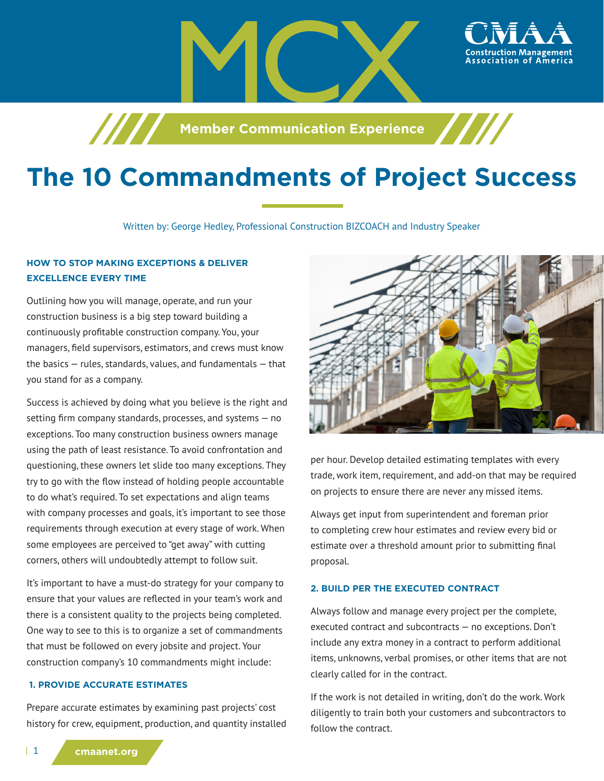

# **The 10 Commandments of Project Success**

Written by: George Hedley, Professional Construction BIZCOACH and Industry Speaker

## **HOW TO STOP MAKING EXCEPTIONS & DELIVER EXCELLENCE EVERY TIME**

Outlining how you will manage, operate, and run your construction business is a big step toward building a continuously profitable construction company. You, your managers, field supervisors, estimators, and crews must know the basics — rules, standards, values, and fundamentals — that you stand for as a company.

Success is achieved by doing what you believe is the right and setting firm company standards, processes, and systems — no exceptions. Too many construction business owners manage using the path of least resistance. To avoid confrontation and questioning, these owners let slide too many exceptions. They try to go with the flow instead of holding people accountable to do what's required. To set expectations and align teams with company processes and goals, it's important to see those requirements through execution at every stage of work. When some employees are perceived to "get away" with cutting corners, others will undoubtedly attempt to follow suit.

It's important to have a must-do strategy for your company to ensure that your values are reflected in your team's work and there is a consistent quality to the projects being completed. One way to see to this is to organize a set of commandments that must be followed on every jobsite and project. Your construction company's 10 commandments might include:

#### **1. PROVIDE ACCURATE ESTIMATES**

Prepare accurate estimates by examining past projects' cost history for crew, equipment, production, and quantity installed



ssociation of America

per hour. Develop detailed estimating templates with every trade, work item, requirement, and add-on that may be required on projects to ensure there are never any missed items.

Always get input from superintendent and foreman prior to completing crew hour estimates and review every bid or estimate over a threshold amount prior to submitting final proposal.

#### **2. BUILD PER THE EXECUTED CONTRACT**

Always follow and manage every project per the complete, executed contract and subcontracts — no exceptions. Don't include any extra money in a contract to perform additional items, unknowns, verbal promises, or other items that are not clearly called for in the contract.

If the work is not detailed in writing, don't do the work. Work diligently to train both your customers and subcontractors to follow the contract.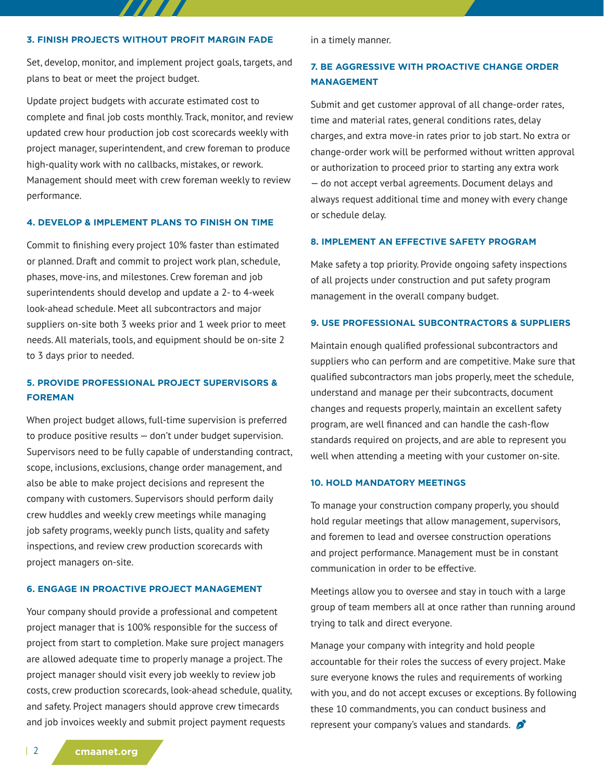#### **3. FINISH PROJECTS WITHOUT PROFIT MARGIN FADE**

TITET S

Set, develop, monitor, and implement project goals, targets, and plans to beat or meet the project budget.

Update project budgets with accurate estimated cost to complete and final job costs monthly. Track, monitor, and review updated crew hour production job cost scorecards weekly with project manager, superintendent, and crew foreman to produce high-quality work with no callbacks, mistakes, or rework. Management should meet with crew foreman weekly to review performance.

#### **4. DEVELOP & IMPLEMENT PLANS TO FINISH ON TIME**

Commit to finishing every project 10% faster than estimated or planned. Draft and commit to project work plan, schedule, phases, move-ins, and milestones. Crew foreman and job superintendents should develop and update a 2- to 4-week look-ahead schedule. Meet all subcontractors and major suppliers on-site both 3 weeks prior and 1 week prior to meet needs. All materials, tools, and equipment should be on-site 2 to 3 days prior to needed.

# **5. PROVIDE PROFESSIONAL PROJECT SUPERVISORS & FOREMAN**

When project budget allows, full-time supervision is preferred to produce positive results — don't under budget supervision. Supervisors need to be fully capable of understanding contract, scope, inclusions, exclusions, change order management, and also be able to make project decisions and represent the company with customers. Supervisors should perform daily crew huddles and weekly crew meetings while managing job safety programs, weekly punch lists, quality and safety inspections, and review crew production scorecards with project managers on-site.

#### **6. ENGAGE IN PROACTIVE PROJECT MANAGEMENT**

Your company should provide a professional and competent project manager that is 100% responsible for the success of project from start to completion. Make sure project managers are allowed adequate time to properly manage a project. The project manager should visit every job weekly to review job costs, crew production scorecards, look-ahead schedule, quality, and safety. Project managers should approve crew timecards and job invoices weekly and submit project payment requests

in a timely manner.

## **7. BE AGGRESSIVE WITH PROACTIVE CHANGE ORDER MANAGEMENT**

Submit and get customer approval of all change-order rates, time and material rates, general conditions rates, delay charges, and extra move-in rates prior to job start. No extra or change-order work will be performed without written approval or authorization to proceed prior to starting any extra work — do not accept verbal agreements. Document delays and always request additional time and money with every change or schedule delay.

#### **8. IMPLEMENT AN EFFECTIVE SAFETY PROGRAM**

Make safety a top priority. Provide ongoing safety inspections of all projects under construction and put safety program management in the overall company budget.

#### **9. USE PROFESSIONAL SUBCONTRACTORS & SUPPLIERS**

Maintain enough qualified professional subcontractors and suppliers who can perform and are competitive. Make sure that qualified subcontractors man jobs properly, meet the schedule, understand and manage per their subcontracts, document changes and requests properly, maintain an excellent safety program, are well financed and can handle the cash-flow standards required on projects, and are able to represent you well when attending a meeting with your customer on-site.

#### **10. HOLD MANDATORY MEETINGS**

To manage your construction company properly, you should hold regular meetings that allow management, supervisors, and foremen to lead and oversee construction operations and project performance. Management must be in constant communication in order to be effective.

Meetings allow you to oversee and stay in touch with a large group of team members all at once rather than running around trying to talk and direct everyone.

Manage your company with integrity and hold people accountable for their roles the success of every project. Make sure everyone knows the rules and requirements of working with you, and do not accept excuses or exceptions. By following these 10 commandments, you can conduct business and represent your company's values and standards.  $\sum$